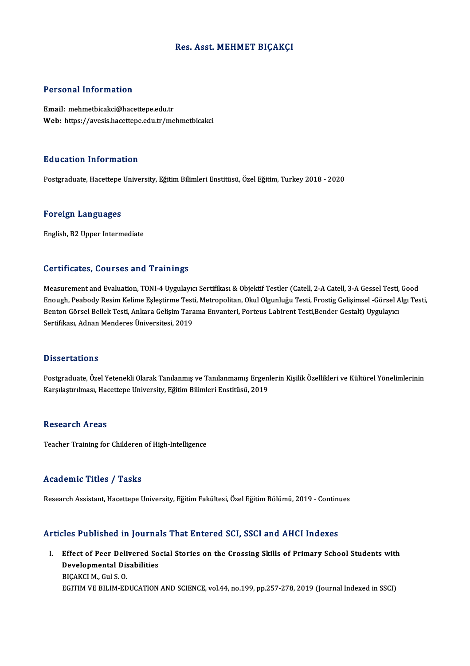# Res. Asst. MEHMET BIÇAKÇI

# Personal Information

Email: mehmetbicakci@hacettepe.edu.tr Web: https://avesis.hacettepe.edu.tr/mehmetbicakci

# Education Information

Postgraduate, Hacettepe University, Eğitim Bilimleri Enstitüsü, Özel Eğitim, Turkey 2018 - 2020

### Foreign Languages

English,B2Upper Intermediate

## Certificates, Courses and Trainings

Measurement and Evaluation, TONI-4 Uygulayıcı Sertifikası & Objektif Testler (Catell, 2-A Catell, 3-A Gessel Testi, Good Enough, Peabody Resim Kelime Eşleştirme Testi, Metropolitan, Okul Olgunluğu Testi, Frostig Gelişimsel -Görsel Algı Testi, Measurement and Evaluation, TONI-4 Uygulayıcı Sertifikası & Objektif Testler (Catell, 2-A Catell, 3-A Gessel Testi,<br>Enough, Peabody Resim Kelime Eşleştirme Testi, Metropolitan, Okul Olgunluğu Testi, Frostig Gelişimsel -Gör Enough, Peabody Resim Kelime Eşleştirme Test<br>Benton Görsel Bellek Testi, Ankara Gelişim Tara<br>Sertifikası, Adnan Menderes Üniversitesi, 2019 Sertifikası, Adnan Menderes Üniversitesi, 2019<br>Dissertations

Dissertations<br>Postgraduate, Özel Yetenekli Olarak Tanılanmış ve Tanılanmamış Ergenlerin Kişilik Özellikleri ve Kültürel Yönelimlerinin<br>Kanalastrulması, Hasettone University, Eğitim Bilimleri Enstitüsü, 2019 Bassea tatrome<br>Postgraduate, Özel Yetenekli Olarak Tanılanmış ve Tanılanmamış Ergen<br>Karşılaştırılması, Hacettepe University, Eğitim Bilimleri Enstitüsü, 2019 Karşılaştırılması, Hacettepe University, Eğitim Bilimleri Enstitüsü, 2019<br>Research Areas

Teacher Training for Childeren of High-Intelligence

### Academic Titles / Tasks

Research Assistant, Hacettepe University, Eğitim Fakültesi, Özel Eğitim Bölümü, 2019 - Continues

# Articles Published in Journals That Entered SCI, SSCI and AHCI Indexes

I. Effect of Peer Delivered Social Stories on the Crossing Skills of Primary School Students with Effect of Peer Delivered So<br>Developmental Disabilities<br>PICAKCI M. Gul S. Q Effect of Peer Deli<br>Developmental Dis<br>BIÇAKCI M., Gul S. O.<br>ECITIM VE BU IM ED BIÇAKCI M., Gul S. O.<br>EGITIM VE BILIM-EDUCATION AND SCIENCE, vol.44, no.199, pp.257-278, 2019 (Journal Indexed in SSCI)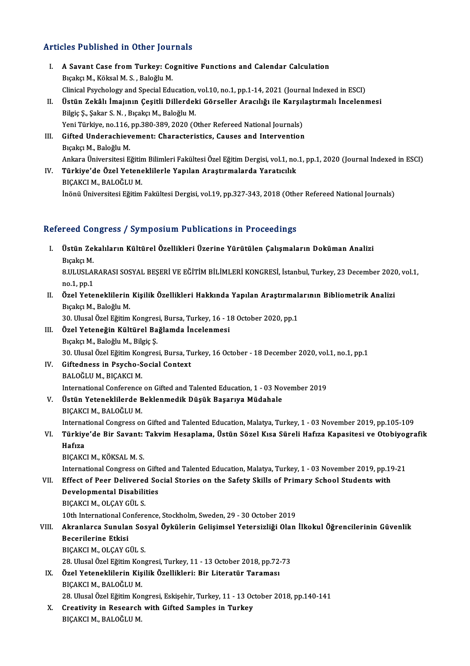# Articles Published in Other Journals

- rticles Published in Other Journals<br>I. A Savant Case from Turkey: Cognitive Functions and Calendar Calculation A Savant Case from Turkey: Concident Case from Turkey: Concident<br>Bıçakçı M., Köksal M. S., Baloğlu M. A Savant Case from Turkey: Cognitive Functions and Calendar Calculation<br>Bıçakçı M., Köksal M. S. , Baloğlu M.<br>Clinical Psychology and Special Education, vol.10, no.1, pp.1-14, 2021 (Journal Indexed in ESCI)<br>Üstün Zekâlı İm Bıçakçı M., Köksal M. S. , Baloğlu M.<br>Clinical Psychology and Special Education, vol.10, no.1, pp.1-14, 2021 (Journal Indexed in ESCI)<br>II. Üstün Zekâlı İmajının Çeşitli Dillerdeki Görseller Aracılığı ile Karşılaştırmal
- Clinical Psychology and Special Education,<br>Üstün Zekâlı İmajının Çeşitli Dillerdel<br>Bilgiç Ş., Şakar S. N. , Bıçakçı M., Baloğlu M.<br>Veni Türkiye na 116. nn 220, 220, 2020. (Q Üstün Zekâlı İmajının Çeşitli Dillerdeki Görseller Aracılığı ile Karşıl<br>Bilgiç Ş., Şakar S. N. , Bıçakçı M., Baloğlu M.<br>Yeni Türkiye, no.116, pp.380-389, 2020 (Other Refereed National Journals)<br>Gifted Undersekievement: Cha Yeni Türkiye, no.116, pp.380-389, 2020 (Other Refereed National Journals)
- Bilgiç Ş., Şakar S. N. , Bıçakçı M., Baloğlu M.<br>Yeni Türkiye, no.116, pp.380-389, 2020 (Other Refereed National Journals)<br>III. Gifted Underachievement: Characteristics, Causes and Intervention<br>Bıçakçı M., Baloğlu M. Gifted Underachievement: Characteristics, Causes and Intervention<br>Bıçakçı M., Baloğlu M.<br>Ankara Üniversitesi Eğitim Bilimleri Fakültesi Özel Eğitim Dergisi, vol.1, no.1, pp.1, 2020 (Journal Indexed in ESCI) Bıçakçı M., Baloğlu M.<br>Ankara Üniversitesi Eğitim Bilimleri Fakültesi Özel Eğitim Dergisi, vol.1, no.<br>IV. Türkiye'de Özel Yeteneklilerle Yapılan Araştırmalarda Yaratıcılık<br>PICAKÇI M. PALOĞLU M.
- Ankara Üniversitesi Eğitin<br><mark>Türkiye'de Özel Yeten</mark><br>BIÇAKCI M., BALOĞLU M.<br>İnönü Üniversitesi Fğitim IV. Türkiye'de Özel Yeteneklilerle Yapılan Araştırmalarda Yaratıcılık<br>BIÇAKCI M., BALOĞLU M.<br>İnönü Üniversitesi Eğitim Fakültesi Dergisi, vol.19, pp.327-343, 2018 (Other Refereed National Journals)

# Refereed Congress / Symposium Publications in Proceedings

efereed Congress / Symposium Publications in Proceedings<br>I. Üstün Zekalıların Kültürel Özellikleri Üzerine Yürütülen Çalışmaların Doküman Analizi<br>Rısaka M 1 cea de.<br>Üstün Zel<br>Bıçakçı M. Üstün Zekalıların Kültürel Özellikleri Üzerine Yürütülen Çalışmaların Doküman Analizi<br>Bıçakçı M.<br>8.ULUSLARARASI SOSYAL BEŞERİ VE EĞİTİM BİLİMLERİ KONGRESİ, İstanbul, Turkey, 23 December 2020, vol.1,<br>no.1, nn.1 Bıçakçı M.<br>8.ULUSLAI<br>no.1, pp.1<br>Özel Xete 8.ULUSLARARASI SOSYAL BEŞERİ VE EĞİTİM BİLİMLERİ KONGRESİ, İstanbul, Turkey, 23 December 2020<br>no.1, pp.1<br>II. Özel Yeteneklilerin Kişilik Özellikleri Hakkında Yapılan Araştırmalarının Bibliometrik Analizi no.1, pp.1<br>II. Özel Yeteneklilerin Kişilik Özellikleri Hakkında Yapılan Araştırmalarının Bibliometrik Analizi<br>Bıçakçı M., Baloğlu M. Özel Yeteneklilerin Kişilik Özellikleri Hakkında Yapılan Araştırmal:<br>Bıçakçı M., Baloğlu M.<br>30. Ulusal Özel Eğitim Kongresi, Bursa, Turkey, 16 - 18 October 2020, pp.1<br>Özel Yeteneğin Kültünel Beğlemda İnselenmesi

III. Özel Yeteneğin Kültürel Bağlamda İncelenmesi<br>Bıçakçı M., Baloğlu M., Bilgiç Ş. 30. Ulusal Özel Eğitim Kongres<br><mark>Özel Yeteneğin Kültürel Ba</mark><br>Bıçakçı M., Baloğlu M., Bilgiç Ş.<br><sup>20. Ulusal Özel Eğitim Kongres</sub></sup> 30.UlusalÖzelEğitimKongresi,Bursa,Turkey,16October -18December 2020,vol.1,no.1,pp.1

- IV. Giftedness in Psycho-Social Context BALOĞLU M., BIÇAKCI M. International Conference on Gifted and Talented Education, 1 - 03 November 2019
- V. Üstün Yeteneklilerde Beklenmedik Düşük Başarıya Müdahale BIÇAKCIM.,BALOĞLUM. International Congress on Gifted and Talented Education, Malatya, Turkey, 1 - 03 November 2019, pp.105-109

BIÇAKCI M., BALOĞLU M.<br>International Congress on Gifted and Talented Education, Malatya, Turkey, 1 - 03 November 2019, pp.105-109<br>VI. Türkiye'de Bir Savant: Takvim Hesaplama, Üstün Sözel Kısa Süreli Hafıza Kapasitesi v Interna<br><mark>Türkiy</mark><br>Hafıza<br><sub>PICA*VC*</sub> Türkiye'de Bir Savant:<br>Hafıza<br>BIÇAKCI M., KÖKSAL M. S.<br>International Congress on

Hafiza<br>BIÇAKCI M., KÖKSAL M. S.<br>International Congress on Gifted and Talented Education, Malatya, Turkey, 1 - 03 November 2019, pp.19-21<br>Effect of Peer Delivered Seciel Steries on the Sefety Skille of Primery School Studen BIÇAKCI M., KÖKSAL M. S.<br>International Congress on Gifted and Talented Education, Malatya, Turkey, 1 - 03 November 2019, pp.19<br>VII. Effect of Peer Delivered Social Stories on the Safety Skills of Primary School Students wi

International Congress on Gift<br>Effect of Peer Delivered So<br>Developmental Disabilities<br>PICAKCIM OLGANGÜLS Effect of Peer Delivered<br>Developmental Disabili<br>BIÇAKCI M., OLÇAY GÜL S.<br>10th International Confore Developmental Disabilities<br>BIÇAKCI M., OLÇAY GÜL S.<br>10th International Conference, Stockholm, Sweden, 29 - 30 October 2019<br>Alvanlares, Sunulan Sesual Öylülenin Gelisimeel Vetensirliği Olan BIÇAKCI M., OLÇAY GÜL S.<br>10th International Conference, Stockholm, Sweden, 29 - 30 October 2019<br>VIII. Akranlarca Sunulan Sosyal Öykülerin Gelişimsel Yetersizliği Olan İlkokul Öğrencilerinin Güvenlik<br>Reserilerine Etkisi

# 10th International Co<br>Akranlarca Sunulai<br>Becerilerine Etkisi<br>PICAKCLM, OLGAY C Akranlarca Sunulan Sos<br>Becerilerine Etkisi<br>BIÇAKCI M., OLÇAY GÜL S.<br>28. Illusal Özel Eğitim Kon Becerilerine Etkisi<br>BIÇAKCI M., OLÇAY GÜL S.<br>28. Ulusal Özel Eğitim Kongresi, Turkey, 11 - 13 October 2018, pp.72-73

BIÇAKCI M., OLÇAY GÜL S.<br>28. Ulusal Özel Eğitim Kongresi, Turkey, 11 - 13 October 2018, pp.72<br>IX. Özel Yeteneklilerin Kişilik Özellikleri: Bir Literatür Taraması<br>PICAKCI M. PALOČLU M 28. Ulusal Özel Eğitim Kor<br><mark>Özel Yeteneklilerin Kiş</mark><br>BIÇAKCI M., BALOĞLU M.<br><sup>29. Ulusal Özel Fğitim Kor</sup> Özel Yeteneklilerin Kişilik Özellikleri: Bir Literatür Taraması<br>BIÇAKCI M., BALOĞLU M.<br>28. Ulusal Özel Eğitim Kongresi, Eskişehir, Turkey, 11 - 13 October 2018, pp.140-141<br>Creativity in Bessarsh with Gifted Samples in Turk

BIÇAKCI M., BALOĞLU M.<br>28. Ulusal Özel Eğitim Kongresi, Eskişehir, Turkey, 11 - 13 Oc<br>X. Creativity in Research with Gifted Samples in Turkey<br>BICAKCI M., BALOĞLU M. 28. Ulusal Özel Eğitim Koı<br><mark>Creativity in Research</mark><br>BIÇAKCI M., BALOĞLU M.